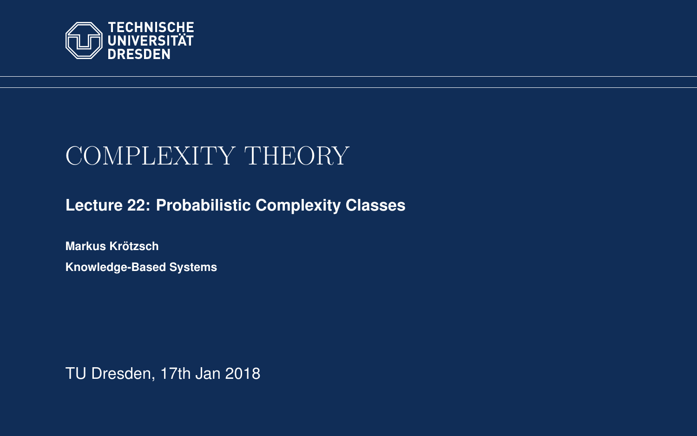<span id="page-0-0"></span>

# COMPLEXITY THEORY

**[Lecture 22: Probabilistic Complexity Classes](https://iccl.inf.tu-dresden.de/web/Complexity_Theory_(WS2017/18))**

**[Markus Krotzsch](https://iccl.inf.tu-dresden.de/web/Markus_Kr%C3%B6tzsch/en) ¨ Knowledge-Based Systems**

TU Dresden, 17th Jan 2018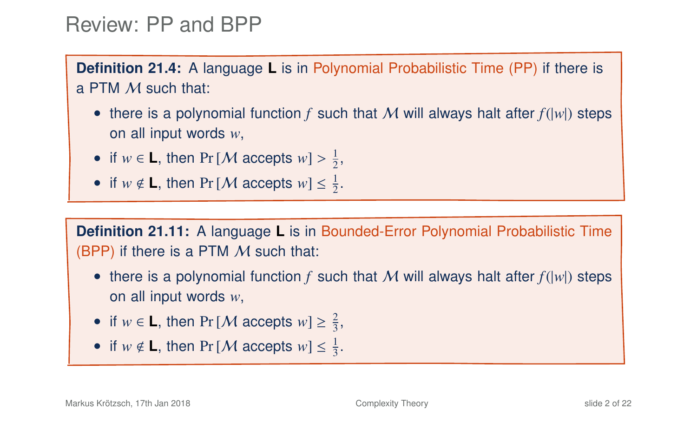### Review: PP and BPP

**Definition 21.4:** A language **L** is in Polynomial Probabilistic Time (PP) if there is a PTM M such that:

- there is a polynomial function  $f$  such that  $M$  will always halt after  $f(|w|)$  steps on all input words *w*,
- if  $w \in L$ , then Pr [*M* accepts  $w$ ] >  $\frac{1}{2}$ ,
- if  $w \notin L$ , then Pr [*M* accepts  $w \leq \frac{1}{2}$ .

**Definition 21.11:** A language **L** is in Bounded-Error Polynomial Probabilistic Time (BPP) if there is a PTM  $M$  such that:

- there is a polynomial function  $f$  such that  $M$  will always halt after  $f(|w|)$  steps on all input words *w*,
- if  $w \in L$ , then Pr [*M* accepts  $w \geq \frac{2}{3}$ ,
- if  $w \notin L$ , then Pr [*M* accepts  $w \leq \frac{1}{3}$ .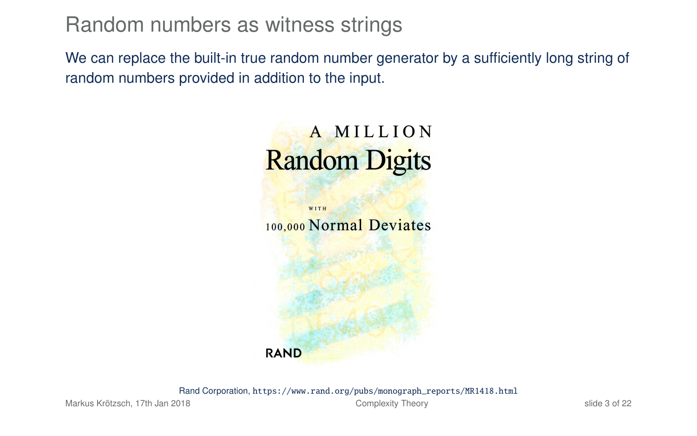Random numbers as witness strings

We can replace the built-in true random number generator by a sufficiently long string of random numbers provided in addition to the input.

# **AMILLION Random Digits**



Rand Corporation, [https://www.rand.org/pubs/monograph\\_reports/MR1418.html](https://www.rand.org/pubs/monograph_reports/MR1418.html)

Markus Krötzsch, 17th Jan 2018 [Complexity Theory](#page-0-0) slide 3 of 22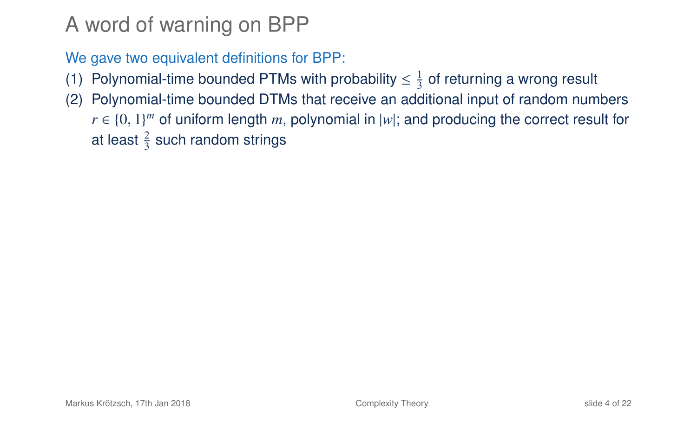A word of warning on BPP

We gave two equivalent definitions for BPP:

- (1) Polynomial-time bounded PTMs with probability  $\leq \frac{1}{3}$  of returning a wrong result
- (2) Polynomial-time bounded DTMs that receive an additional input of random numbers  $r \in \{0, 1\}^m$  of uniform length *m*, polynomial in |w|; and producing the correct result for at least  $\frac{2}{3}$  such random strings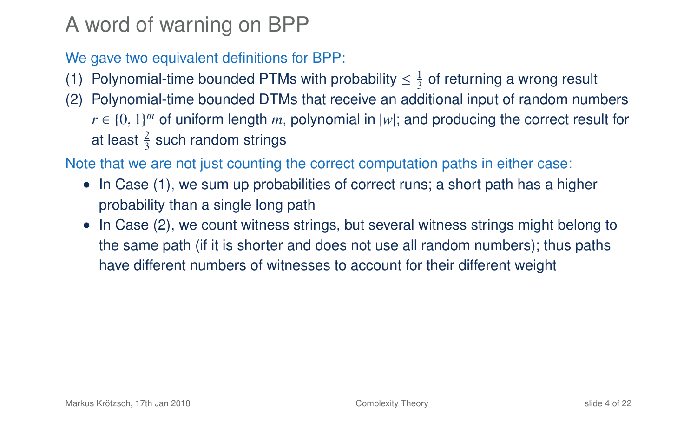# A word of warning on BPP

We gave two equivalent definitions for BPP:

- (1) Polynomial-time bounded PTMs with probability  $\leq \frac{1}{3}$  of returning a wrong result
- (2) Polynomial-time bounded DTMs that receive an additional input of random numbers  $r \in \{0, 1\}^m$  of uniform length *m*, polynomial in |w|; and producing the correct result for at least  $\frac{2}{3}$  such random strings

Note that we are not just counting the correct computation paths in either case:

- In Case (1), we sum up probabilities of correct runs; a short path has a higher probability than a single long path
- In Case (2), we count witness strings, but several witness strings might belong to the same path (if it is shorter and does not use all random numbers); thus paths have different numbers of witnesses to account for their different weight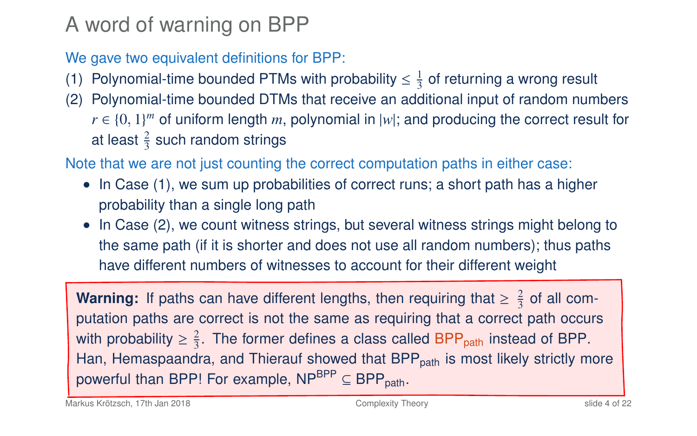# A word of warning on BPP

We gave two equivalent definitions for BPP:

- (1) Polynomial-time bounded PTMs with probability  $\leq \frac{1}{3}$  of returning a wrong result
- (2) Polynomial-time bounded DTMs that receive an additional input of random numbers  $r \in \{0, 1\}^m$  of uniform length *m*, polynomial in |w|; and producing the correct result for at least  $\frac{2}{3}$  such random strings

Note that we are not just counting the correct computation paths in either case:

- In Case (1), we sum up probabilities of correct runs; a short path has a higher probability than a single long path
- In Case (2), we count witness strings, but several witness strings might belong to the same path (if it is shorter and does not use all random numbers); thus paths have different numbers of witnesses to account for their different weight

**Warning:** If paths can have different lengths, then requiring that  $\geq \frac{2}{3}$  of all computation paths are correct is not the same as requiring that a correct path occurs with probability  $\geq \frac{2}{3}$ . The former defines a class called BPP<sub>path</sub> instead of BPP. Han, Hemaspaandra, and Thierauf showed that BPP<sub>path</sub> is most likely strictly more powerful than BPP! For example,  $NP^{BPP} \subseteq BPP_{path}$ .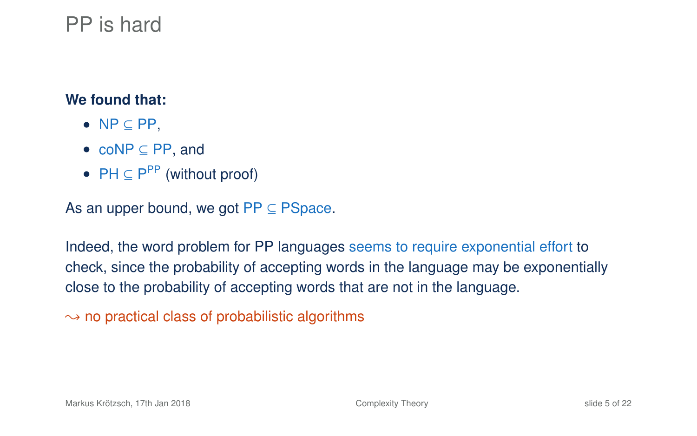# PP is hard

#### **We found that:**

- $\bullet$  NP  $\subset$  PP.
- coNP ⊆ PP, and
- $PH \subseteq P^{PP}$  (without proof)

As an upper bound, we got  $PP \subseteq PSpace$ .

Indeed, the word problem for PP languages seems to require exponential effort to check, since the probability of accepting words in the language may be exponentially close to the probability of accepting words that are not in the language.

 $\rightarrow$  no practical class of probabilistic algorithms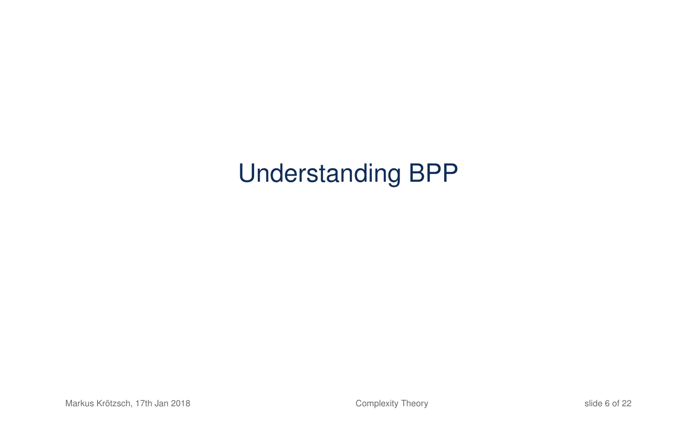# Understanding BPP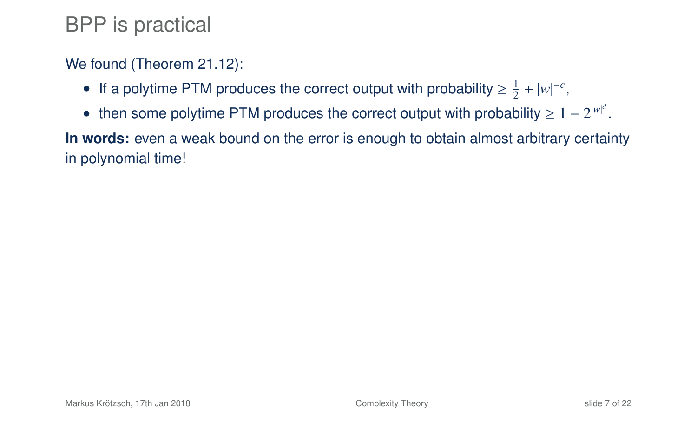# BPP is practical

### We found (Theorem 21.12):

- If a polytime PTM produces the correct output with probability  $\geq \frac{1}{2} + |w|^{-c}$ ,
- then some polytime PTM produces the correct output with probability  $\geq 1-2^{|w|^d}$ .

**In words:** even a weak bound on the error is enough to obtain almost arbitrary certainty in polynomial time!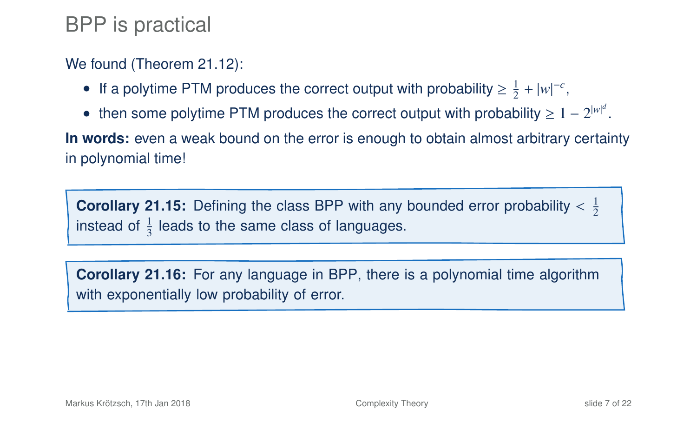# BPP is practical

### We found (Theorem 21.12):

- If a polytime PTM produces the correct output with probability  $\geq \frac{1}{2} + |w|^{-c}$ ,
- then some polytime PTM produces the correct output with probability  $\geq 1-2^{|w|^d}$ .

**In words:** even a weak bound on the error is enough to obtain almost arbitrary certainty in polynomial time!

**Corollary 21.15:** Defining the class BPP with any bounded error probability  $\lt \frac{1}{2}$ instead of  $\frac{1}{3}$  leads to the same class of languages.

**Corollary 21.16:** For any language in BPP, there is a polynomial time algorithm with exponentially low probability of error.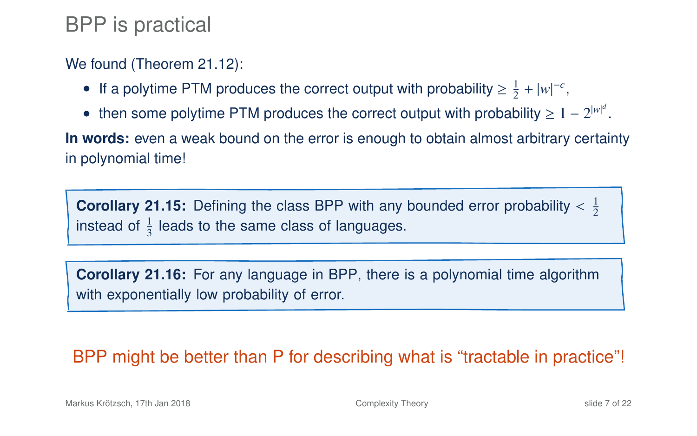# BPP is practical

### We found (Theorem 21.12):

- If a polytime PTM produces the correct output with probability  $\geq \frac{1}{2} + |w|^{-c}$ ,
- then some polytime PTM produces the correct output with probability  $\geq 1-2^{|w|^d}$ .

**In words:** even a weak bound on the error is enough to obtain almost arbitrary certainty in polynomial time!

**Corollary 21.15:** Defining the class BPP with any bounded error probability  $\lt \frac{1}{2}$ instead of  $\frac{1}{3}$  leads to the same class of languages.

**Corollary 21.16:** For any language in BPP, there is a polynomial time algorithm with exponentially low probability of error.

### BPP might be better than P for describing what is "tractable in practice"!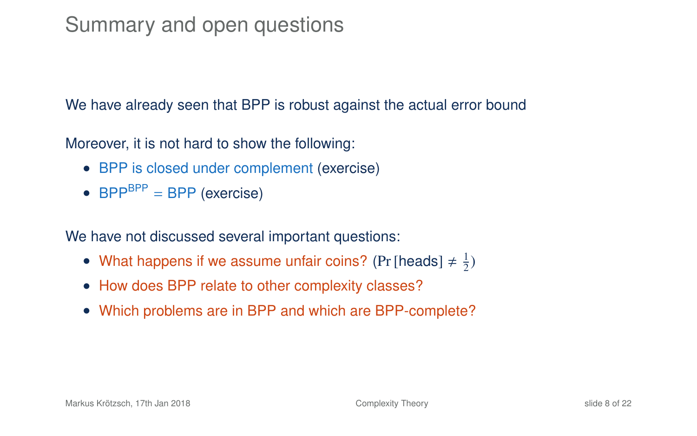# Summary and open questions

We have already seen that BPP is robust against the actual error bound

Moreover, it is not hard to show the following:

- BPP is closed under complement (exercise)
- $BPP^{BPP} = BPP$  (exercise)

We have not discussed several important questions:

- What happens if we assume unfair coins? (Pr [heads]  $\neq \frac{1}{2}$ )
- How does BPP relate to other complexity classes?
- Which problems are in BPP and which are BPP-complete?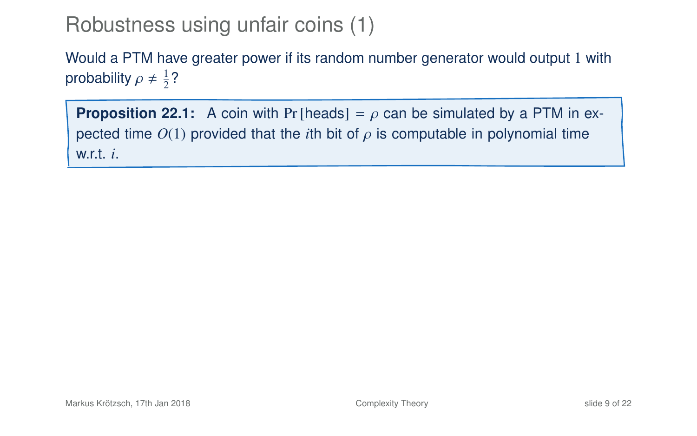# Robustness using unfair coins (1)

Would a PTM have greater power if its random number generator would output 1 with probability  $\rho \neq \frac{1}{2}$ ?

<span id="page-12-0"></span>**Proposition 22.1:** A coin with Pr [heads] =  $\rho$  can be simulated by a PTM in expected time  $O(1)$  provided that the *i*th bit of  $\rho$  is computable in polynomial time w.r.t. *i*.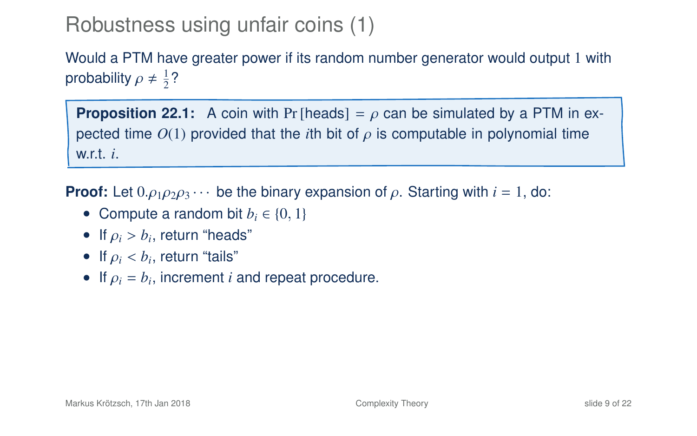# Robustness using unfair coins (1)

Would a PTM have greater power if its random number generator would output 1 with probability  $\rho \neq \frac{1}{2}$ ?

**Proposition 22.1:** A coin with Pr [heads] =  $\rho$  can be simulated by a PTM in expected time  $O(1)$  provided that the *i*th bit of  $\rho$  is computable in polynomial time w.r.t. *i*.

**Proof:** Let  $0. \rho_1 \rho_2 \rho_3 \cdots$  be the binary expansion of  $\rho$ . Starting with  $i = 1$ , do:

- Compute a random bit  $b_i \in \{0, 1\}$
- If  $\rho_i > b_i$ , return "heads"
- If  $\rho_i < b_i$ , return "tails"
- If  $\rho_i = b_i$ , increment *i* and repeat procedure.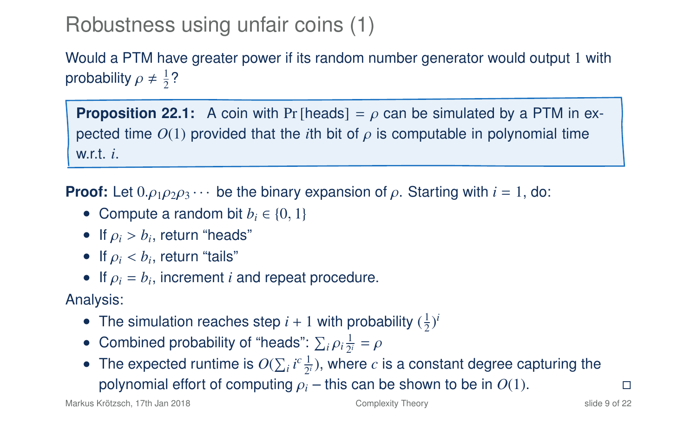# Robustness using unfair coins (1)

Would a PTM have greater power if its random number generator would output 1 with probability  $\rho \neq \frac{1}{2}$ ?

**Proposition 22.1:** A coin with Pr [heads] =  $\rho$  can be simulated by a PTM in expected time  $O(1)$  provided that the *i*th bit of  $\rho$  is computable in polynomial time w.r.t. *i*.

**Proof:** Let  $0. \rho_1 \rho_2 \rho_3 \cdots$  be the binary expansion of  $\rho$ . Starting with  $i = 1$ , do:

- Compute a random bit  $b_i \in \{0, 1\}$
- If  $\rho_i > b_i$ , return "heads"
- If  $\rho_i < b_i$ , return "tails"
- If  $\rho_i = b_i$ , increment *i* and repeat procedure.

Analysis:

- The simulation reaches step  $i + 1$  with probability  $(\frac{1}{2})^i$
- Combined probability of "heads":  $\sum_i \rho_i \frac{1}{2^i} = \rho$
- The expected runtime is  $O(\sum_i i^c \frac{1}{2^i})$ , where *c* is a constant degree capturing the **polynomial effort of computing**  $\rho_i$  **– this can be shown to be in**  $O(1)$ **.**  $\square$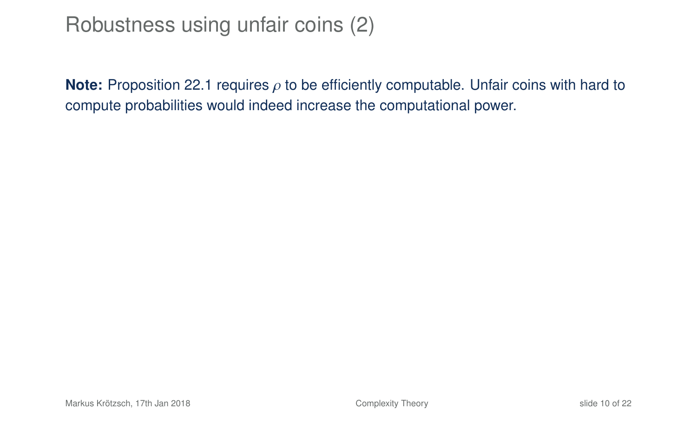# Robustness using unfair coins (2)

**Note:** Proposition 22[.1](#page-12-0) requires  $\rho$  to be efficiently computable. Unfair coins with hard to compute probabilities would indeed increase the computational power.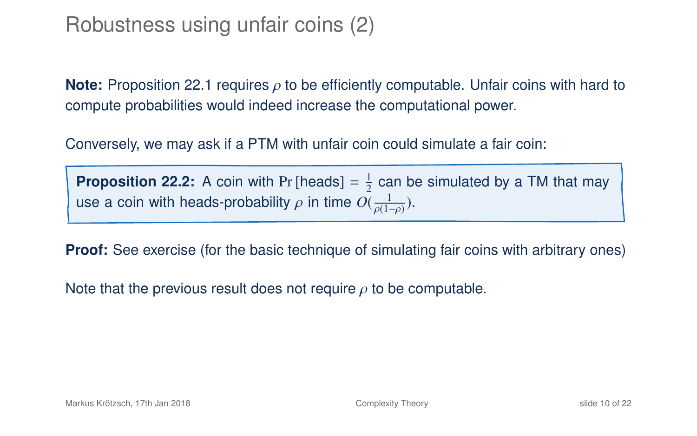# Robustness using unfair coins (2)

**Note:** Proposition 22[.1](#page-12-0) requires ρ to be efficiently computable. Unfair coins with hard to compute probabilities would indeed increase the computational power.

Conversely, we may ask if a PTM with unfair coin could simulate a fair coin:

**Proposition 22.2:** A coin with Pr [heads]  $=$   $\frac{1}{2}$  can be simulated by a TM that may use a coin with heads-probability  $\rho$  in time  $O(\frac{1}{\rho(1-\rho)})$ .

**Proof:** See exercise (for the basic technique of simulating fair coins with arbitrary ones)

Note that the previous result does not require  $\rho$  to be computable.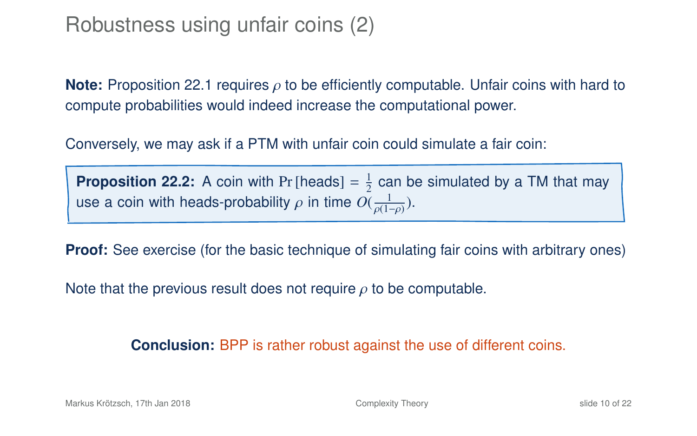# Robustness using unfair coins (2)

**Note:** Proposition 22[.1](#page-12-0) requires ρ to be efficiently computable. Unfair coins with hard to compute probabilities would indeed increase the computational power.

Conversely, we may ask if a PTM with unfair coin could simulate a fair coin:

**Proposition 22.2:** A coin with Pr [heads]  $=$   $\frac{1}{2}$  can be simulated by a TM that may use a coin with heads-probability  $\rho$  in time  $O(\frac{1}{\rho(1-\rho)})$ .

**Proof:** See exercise (for the basic technique of simulating fair coins with arbitrary ones)

Note that the previous result does not require  $\rho$  to be computable.

**Conclusion:** BPP is rather robust against the use of different coins.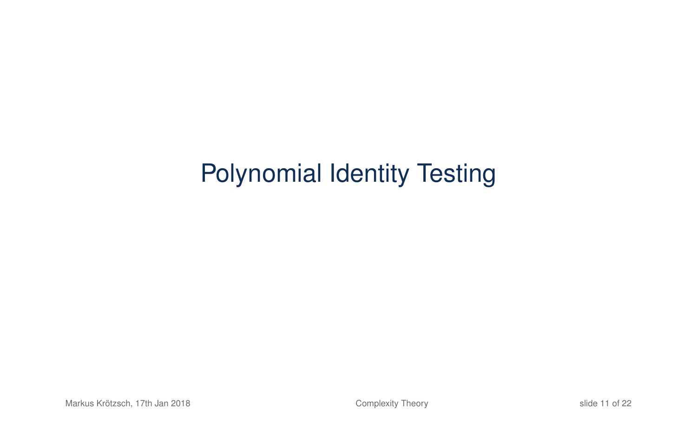# Polynomial Identity Testing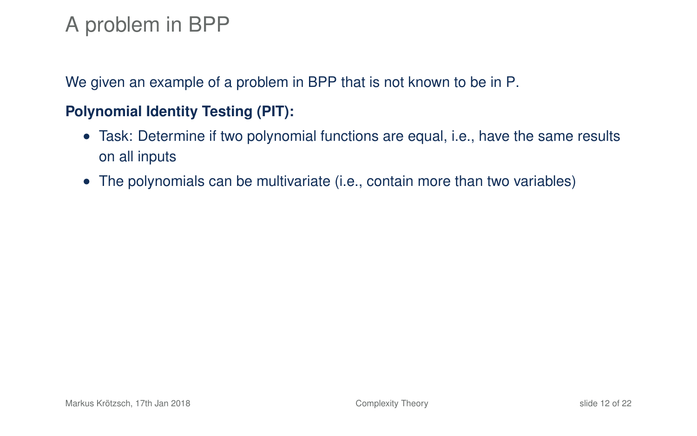We given an example of a problem in BPP that is not known to be in P.

### **Polynomial Identity Testing (PIT):**

- Task: Determine if two polynomial functions are equal, i.e., have the same results on all inputs
- The polynomials can be multivariate (i.e., contain more than two variables)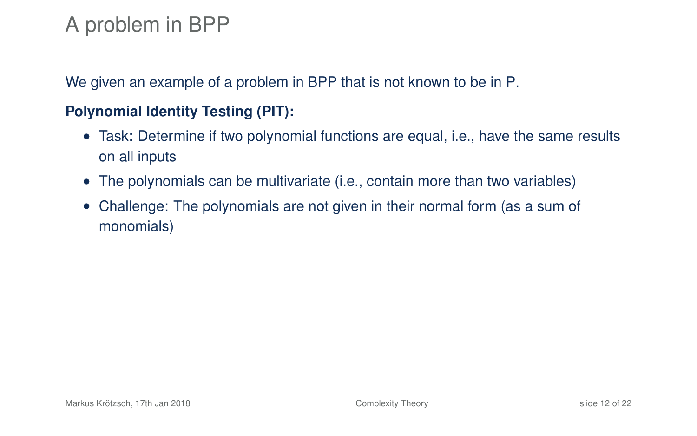We given an example of a problem in BPP that is not known to be in P.

### **Polynomial Identity Testing (PIT):**

- Task: Determine if two polynomial functions are equal, i.e., have the same results on all inputs
- The polynomials can be multivariate (i.e., contain more than two variables)
- Challenge: The polynomials are not given in their normal form (as a sum of monomials)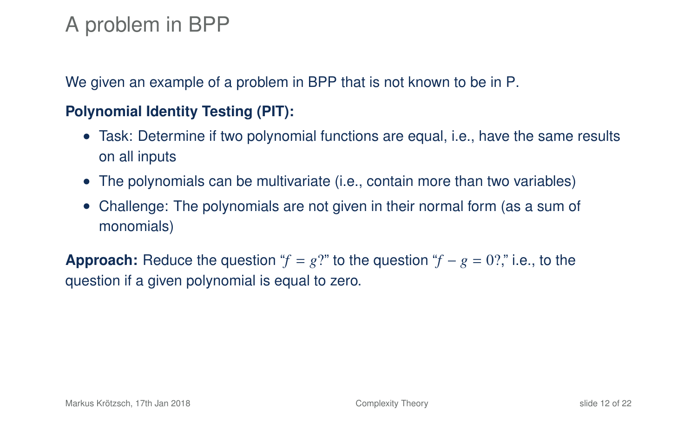We given an example of a problem in BPP that is not known to be in P.

### **Polynomial Identity Testing (PIT):**

- Task: Determine if two polynomial functions are equal, i.e., have the same results on all inputs
- The polynomials can be multivariate (i.e., contain more than two variables)
- Challenge: The polynomials are not given in their normal form (as a sum of monomials)

**Approach:** Reduce the question " $f = g$ ?" to the question " $f - g = 0$ ?" i.e., to the question if a given polynomial is equal to zero.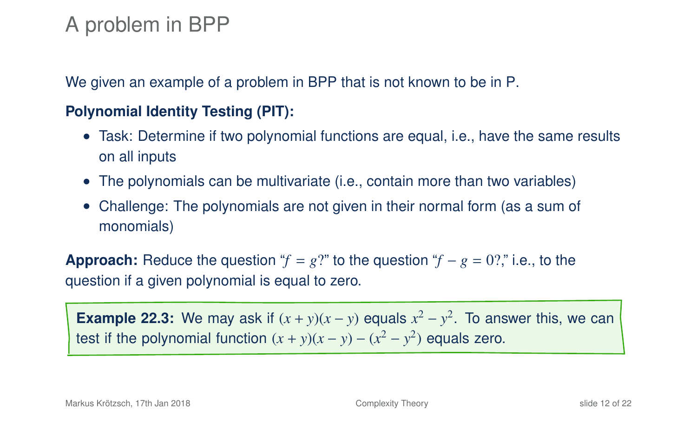We given an example of a problem in BPP that is not known to be in P.

### **Polynomial Identity Testing (PIT):**

- Task: Determine if two polynomial functions are equal, i.e., have the same results on all inputs
- The polynomials can be multivariate (i.e., contain more than two variables)
- Challenge: The polynomials are not given in their normal form (as a sum of monomials)

**Approach:** Reduce the question " $f = g$ ?" to the question " $f - g = 0$ ?" i.e., to the question if a given polynomial is equal to zero.

**Example 22.3:** We may ask if  $(x + y)(x - y)$  equals  $x^2 - y^2$ . To answer this, we can test if the polynomial function  $(x + y)(x - y) - (x^2 - y^2)$  equals zero.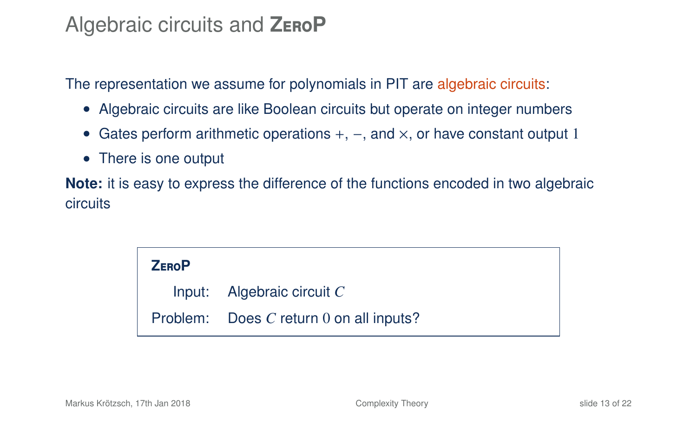### Algebraic circuits and **Z**ero**P**

The representation we assume for polynomials in PIT are algebraic circuits:

- Algebraic circuits are like Boolean circuits but operate on integer numbers
- Gates perform arithmetic operations  $+$ ,  $-$ , and  $\times$ , or have constant output 1
- There is one output

**Note:** it is easy to express the difference of the functions encoded in two algebraic circuits

> **Z**ero**P** Input: Algebraic circuit *C* Problem: Does *C* return 0 on all inputs?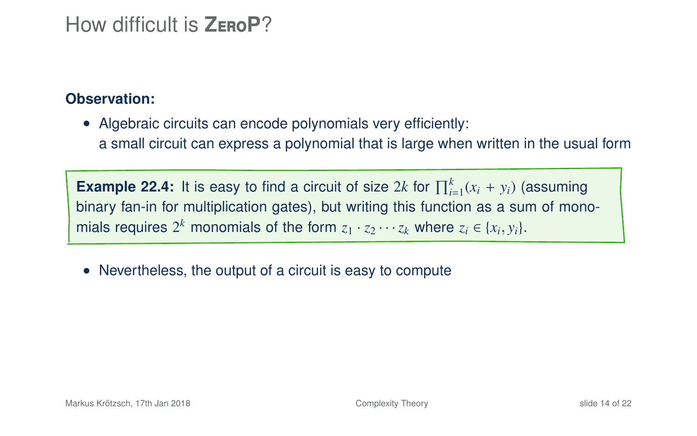### How difficult is **Z**ero**P**?

#### **Observation:**

• Algebraic circuits can encode polynomials very efficiently: a small circuit can express a polynomial that is large when written in the usual form

**Example 22.4:** It is easy to find a circuit of size 2*k* for  $\prod_{i=1}^{k}(x_i + y_i)$  (assuming binary fan-in for multiplication gates), but writing this function as a sum of monomials requires  $2^k$  monomials of the form  $z_1 \cdot z_2 \cdots z_k$  where  $z_i \in \{x_i, y_i\}$ .

• Nevertheless, the output of a circuit is easy to compute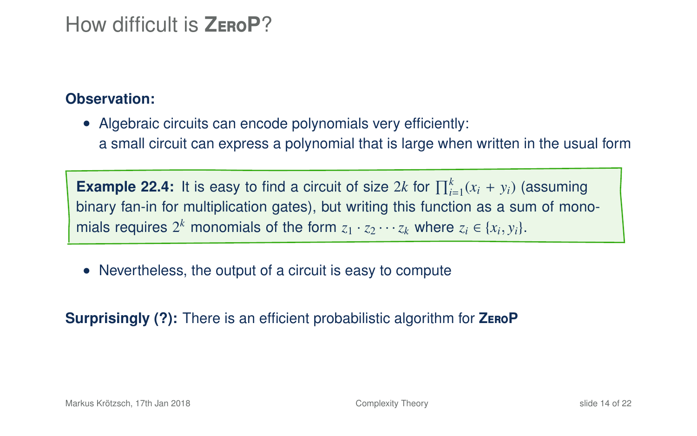### How difficult is **Z**ero**P**?

#### **Observation:**

• Algebraic circuits can encode polynomials very efficiently: a small circuit can express a polynomial that is large when written in the usual form

**Example 22.4:** It is easy to find a circuit of size 2*k* for  $\prod_{i=1}^{k}(x_i + y_i)$  (assuming binary fan-in for multiplication gates), but writing this function as a sum of monomials requires  $2^k$  monomials of the form  $z_1 \cdot z_2 \cdots z_k$  where  $z_i \in \{x_i, y_i\}$ .

• Nevertheless, the output of a circuit is easy to compute

**Surprisingly (?):** There is an efficient probabilistic algorithm for **Z**ero**P**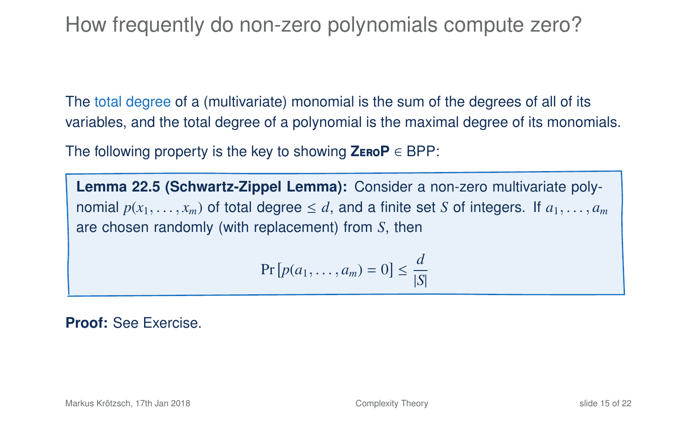How frequently do non-zero polynomials compute zero?

The total degree of a (multivariate) monomial is the sum of the degrees of all of its variables, and the total degree of a polynomial is the maximal degree of its monomials.

The following property is the key to showing **Z**ero**P** ∈ BPP:

**Lemma 22.5 (Schwartz-Zippel Lemma):** Consider a non-zero multivariate polynomial  $p(x_1, \ldots, x_m)$  of total degree  $\leq d$ , and a finite set *S* of integers. If  $a_1, \ldots, a_m$ are chosen randomly (with replacement) from *S*, then

$$
\Pr\left[p(a_1,\ldots,a_m)=0\right]\leq \frac{d}{|S|}
$$

**Proof:** See Exercise.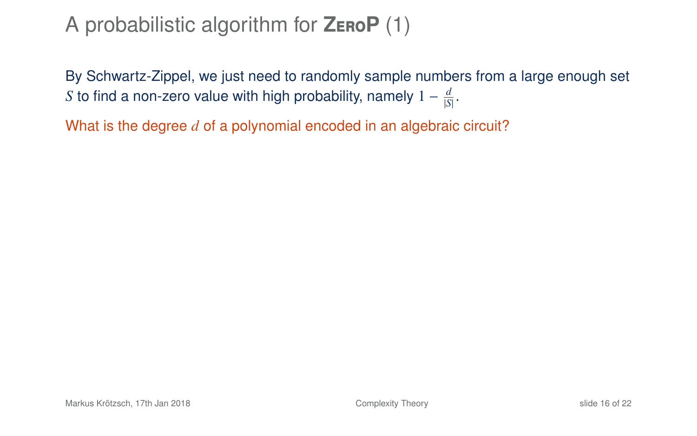By Schwartz-Zippel, we just need to randomly sample numbers from a large enough set *S* to find a non-zero value with high probability, namely  $1 - \frac{d}{|\mathcal{S}|}$ .

What is the degree *d* of a polynomial encoded in an algebraic circuit?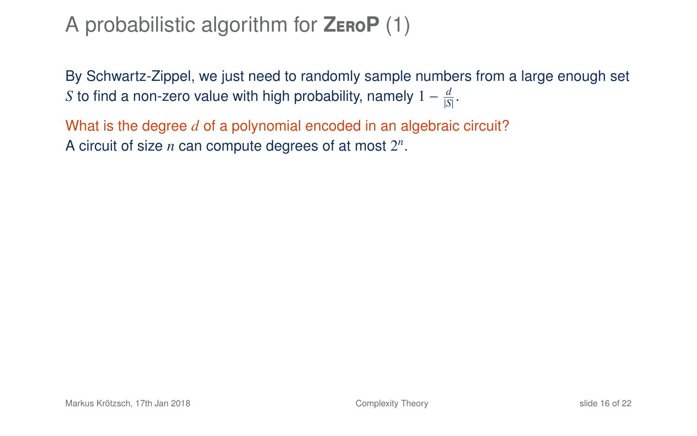By Schwartz-Zippel, we just need to randomly sample numbers from a large enough set *S* to find a non-zero value with high probability, namely  $1 - \frac{d}{|\mathcal{S}|}$ .

What is the degree *d* of a polynomial encoded in an algebraic circuit? A circuit of size *n* can compute degrees of at most 2 *n* .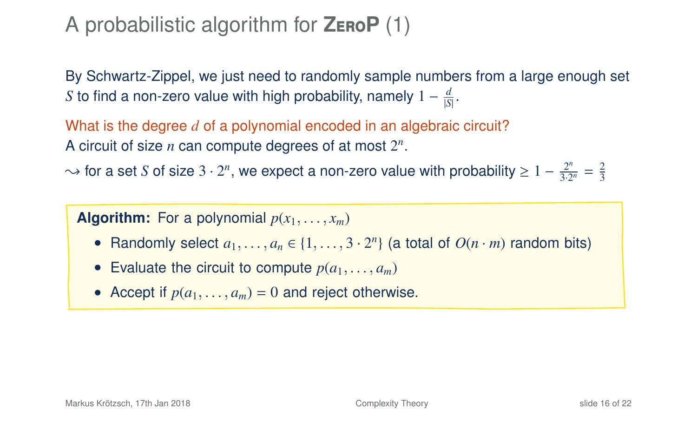By Schwartz-Zippel, we just need to randomly sample numbers from a large enough set *S* to find a non-zero value with high probability, namely  $1 - \frac{d}{|\mathcal{S}|}$ .

What is the degree *d* of a polynomial encoded in an algebraic circuit? A circuit of size *n* can compute degrees of at most 2 *n* .

 $\sim$  for a set *S* of size 3 · 2<sup>n</sup>, we expect a non-zero value with probability  $\geq 1 - \frac{2^n}{3 \cdot 2^n} = \frac{2}{3}$ 

**Algorithm:** For a polynomial  $p(x_1, \ldots, x_m)$ 

- Randomly select  $a_1, \ldots, a_n \in \{1, \ldots, 3 \cdot 2^n\}$  (a total of  $O(n \cdot m)$  random bits)
- Evaluate the circuit to compute  $p(a_1, \ldots, a_m)$
- Accept if  $p(a_1, \ldots, a_m) = 0$  and reject otherwise.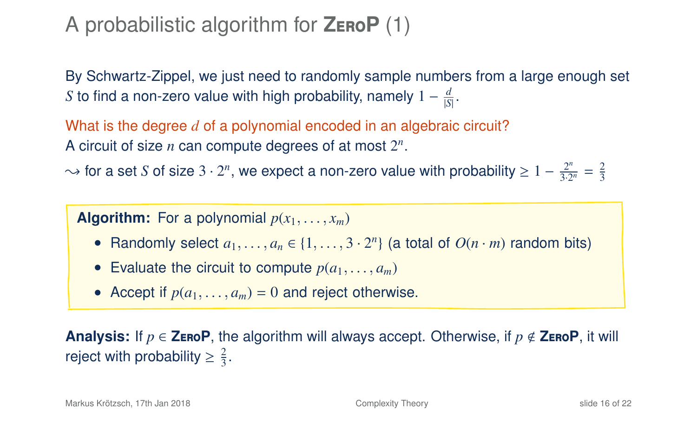By Schwartz-Zippel, we just need to randomly sample numbers from a large enough set *S* to find a non-zero value with high probability, namely  $1 - \frac{d}{|\mathcal{S}|}$ .

What is the degree *d* of a polynomial encoded in an algebraic circuit? A circuit of size *n* can compute degrees of at most 2 *n* .

 $\sim$  for a set *S* of size 3 · 2<sup>n</sup>, we expect a non-zero value with probability  $\geq 1 - \frac{2^n}{3 \cdot 2^n} = \frac{2}{3}$ 

**Algorithm:** For a polynomial  $p(x_1, \ldots, x_m)$ 

- Randomly select  $a_1, \ldots, a_n \in \{1, \ldots, 3 \cdot 2^n\}$  (a total of  $O(n \cdot m)$  random bits)
- Evaluate the circuit to compute  $p(a_1, \ldots, a_m)$
- Accept if  $p(a_1, \ldots, a_m) = 0$  and reject otherwise.

**Analysis:** If  $p \in \mathsf{ZeroP}$ , the algorithm will always accept. Otherwise, if  $p \notin \mathsf{ZeroP}$ , it will reject with probability  $\geq \frac{2}{3}$ .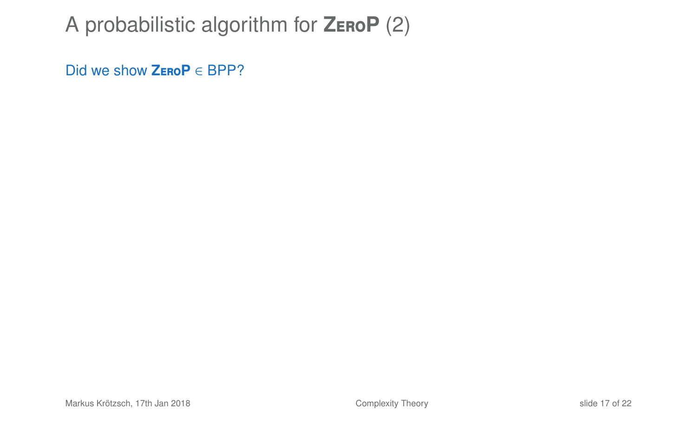Did we show **Z**ero**P** ∈ BPP?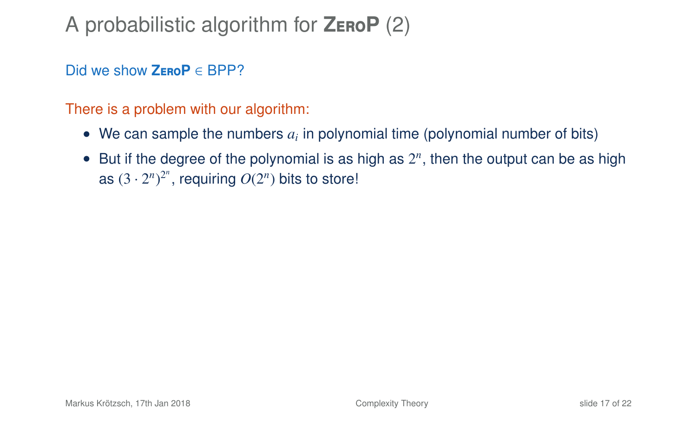Did we show **Z**ero**P** ∈ BPP?

There is a problem with our algorithm:

- $\bullet$  We can sample the numbers  $a_i$  in polynomial time (polynomial number of bits)
- $\bullet$  But if the degree of the polynomial is as high as  $2^n$ , then the output can be as high as  $(3 \cdot 2^n)^{2^n}$ , requiring  $O(2^n)$  bits to store!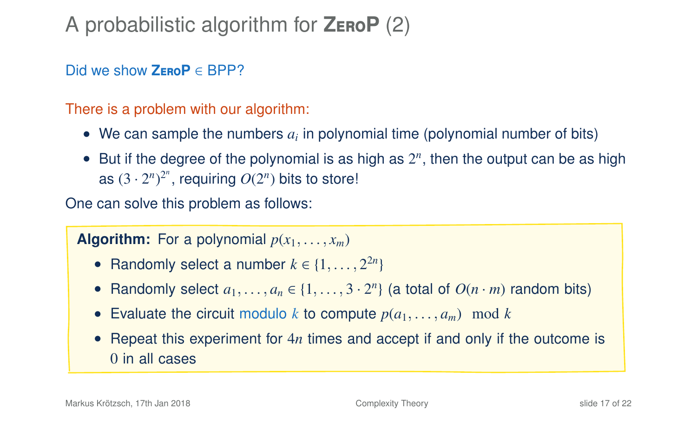Did we show **Z**ero**P** ∈ BPP?

There is a problem with our algorithm:

- $\bullet$  We can sample the numbers  $a_i$  in polynomial time (polynomial number of bits)
- $\bullet$  But if the degree of the polynomial is as high as  $2^n$ , then the output can be as high as  $(3 \cdot 2^n)^{2^n}$ , requiring  $O(2^n)$  bits to store!

One can solve this problem as follows:

**Algorithm:** For a polynomial  $p(x_1, \ldots, x_m)$ 

- Randomly select a number  $k \in \{1, \ldots, 2^{2n}\}\$
- Randomly select  $a_1, \ldots, a_n \in \{1, \ldots, 3 \cdot 2^n\}$  (a total of  $O(n \cdot m)$  random bits)
- Evaluate the circuit modulo *k* to compute  $p(a_1, \ldots, a_m) \mod k$
- Repeat this experiment for 4*n* times and accept if and only if the outcome is 0 in all cases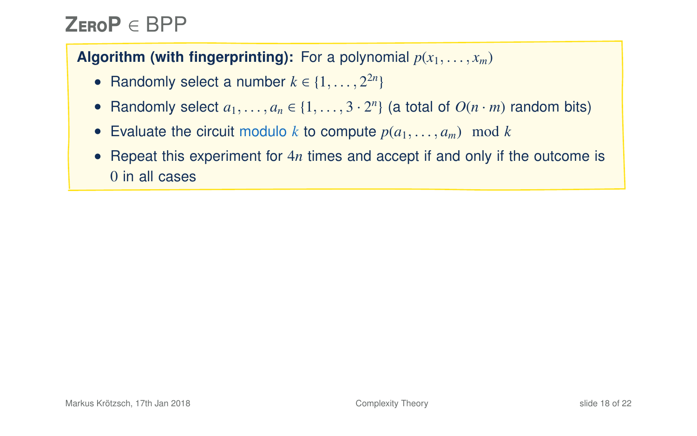# **Z**ero**P** ∈ BPP

### **Algorithm (with fingerprinting):** For a polynomial  $p(x_1, \ldots, x_m)$

- Randomly select a number  $k \in \{1, \ldots, 2^{2n}\}\$
- Randomly select  $a_1, \ldots, a_n \in \{1, \ldots, 3 \cdot 2^n\}$  (a total of  $O(n \cdot m)$  random bits)
- Evaluate the circuit modulo *k* to compute  $p(a_1, \ldots, a_m) \mod k$
- Repeat this experiment for 4*n* times and accept if and only if the outcome is 0 in all cases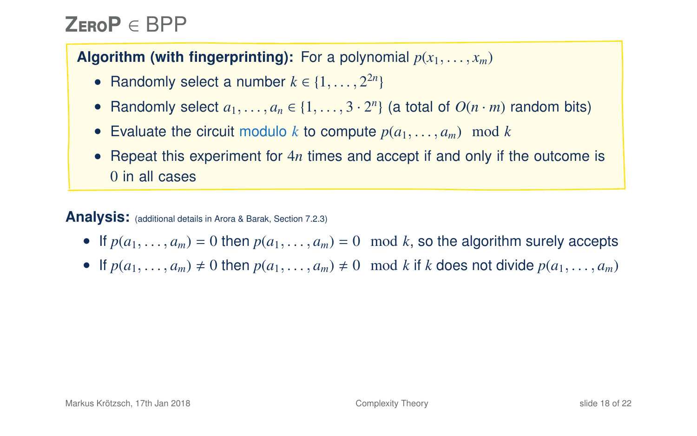# **Z**ero**P** ∈ BPP

### **Algorithm (with fingerprinting):** For a polynomial  $p(x_1, \ldots, x_m)$

- Randomly select a number  $k \in \{1, \ldots, 2^{2n}\}\$
- Randomly select  $a_1, \ldots, a_n \in \{1, \ldots, 3 \cdot 2^n\}$  (a total of  $O(n \cdot m)$  random bits)
- Evaluate the circuit modulo *k* to compute  $p(a_1, \ldots, a_m)$  mod *k*
- Repeat this experiment for 4*n* times and accept if and only if the outcome is 0 in all cases

#### **Analysis:** (additional details in Arora & Barak, Section 7.2.3)

- If  $p(a_1, \ldots, a_m) = 0$  then  $p(a_1, \ldots, a_m) = 0 \mod k$ , so the algorithm surely accepts
- If  $p(a_1, \ldots, a_m) \neq 0$  then  $p(a_1, \ldots, a_m) \neq 0 \mod k$  if *k* does not divide  $p(a_1, \ldots, a_m)$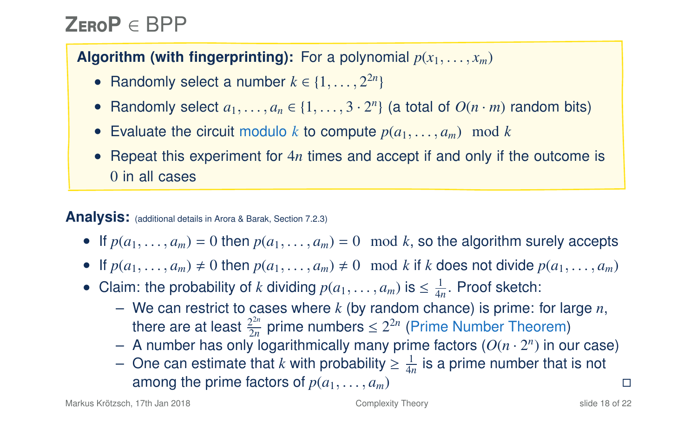# **Z**ero**P** ∈ BPP

### **Algorithm (with fingerprinting):** For a polynomial  $p(x_1, \ldots, x_m)$

- Randomly select a number  $k \in \{1, \ldots, 2^{2n}\}\$
- Randomly select  $a_1, \ldots, a_n \in \{1, \ldots, 3 \cdot 2^n\}$  (a total of  $O(n \cdot m)$  random bits)
- Evaluate the circuit modulo *k* to compute  $p(a_1, \ldots, a_m)$  mod *k*
- Repeat this experiment for 4*n* times and accept if and only if the outcome is 0 in all cases

#### **Analysis:** (additional details in Arora & Barak, Section 7.2.3)

- If  $p(a_1, \ldots, a_m) = 0$  then  $p(a_1, \ldots, a_m) = 0 \mod k$ , so the algorithm surely accepts
- If  $p(a_1, \ldots, a_m) \neq 0$  then  $p(a_1, \ldots, a_m) \neq 0 \mod k$  if *k* does not divide  $p(a_1, \ldots, a_m)$
- Claim: the probability of *k* dividing  $p(a_1, \ldots, a_m)$  is  $\leq \frac{1}{4n}$ . Proof sketch:
	- We can restrict to cases where *k* (by random chance) is prime: for large *n*, there are at least  $\frac{2^{2n}}{2n}$  $\frac{2^{2n}}{2n}$  prime numbers  $\leq 2^{2n}$  (Prime Number Theorem)
	- $-$  A number has only logarithmically many prime factors  $(O(n \cdot 2^n))$  in our case)
	- $−$  One can estimate that *k* with probability  $\geq \frac{1}{4n}$  is a prime number that is not among the prime factors of  $p(a_1, \ldots, a_m)$   $\Box$ <br>17th Jan 2018 **a** Complexity Theory slide 18 of 22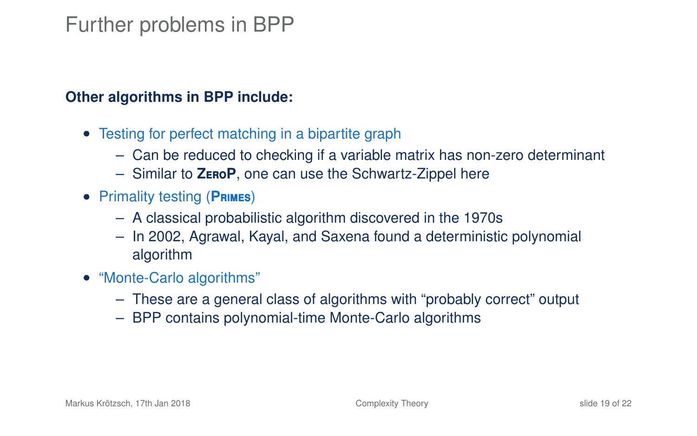### Further problems in BPP

#### **Other algorithms in BPP include:**

- Testing for perfect matching in a bipartite graph
	- Can be reduced to checking if a variable matrix has non-zero determinant
	- Similar to **Z**ero**P**, one can use the Schwartz-Zippel here
- Primality testing (**P**rimes)
	- A classical probabilistic algorithm discovered in the 1970s
	- In 2002, Agrawal, Kayal, and Saxena found a deterministic polynomial algorithm
- "Monte-Carlo algorithms"
	- These are a general class of algorithms with "probably correct" output
	- BPP contains polynomial-time Monte-Carlo algorithms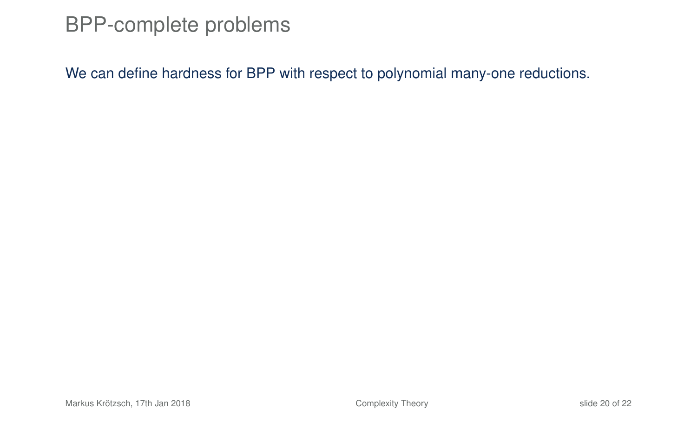### BPP-complete problems

We can define hardness for BPP with respect to polynomial many-one reductions.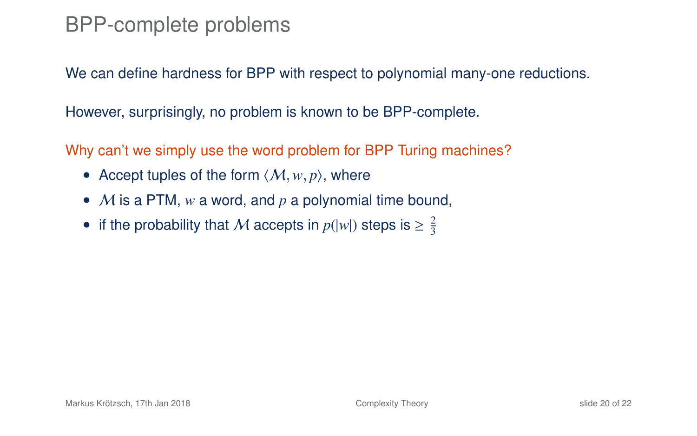## BPP-complete problems

We can define hardness for BPP with respect to polynomial many-one reductions.

However, surprisingly, no problem is known to be BPP-complete.

Why can't we simply use the word problem for BPP Turing machines?

- Accept tuples of the form  $\langle M, w, p \rangle$ , where
- M is a PTM, *w* a word, and *p* a polynomial time bound,
- if the probability that M accepts in  $p(|w|)$  steps is  $\geq \frac{2}{3}$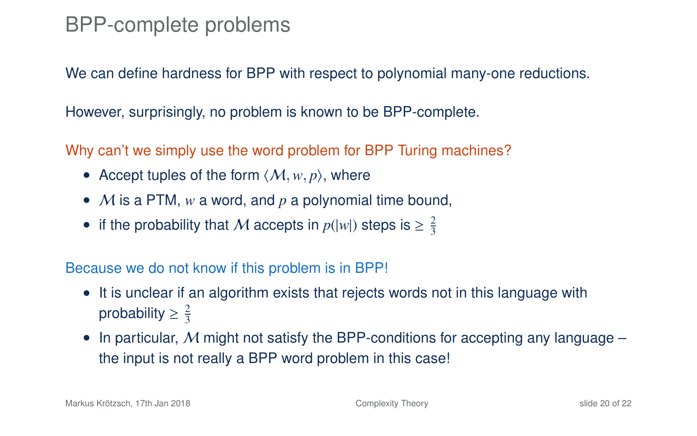### BPP-complete problems

We can define hardness for BPP with respect to polynomial many-one reductions.

However, surprisingly, no problem is known to be BPP-complete.

Why can't we simply use the word problem for BPP Turing machines?

- Accept tuples of the form  $\langle M, w, p \rangle$ , where
- M is a PTM, *w* a word, and *p* a polynomial time bound,
- if the probability that M accepts in  $p(|w|)$  steps is  $\geq \frac{2}{3}$

Because we do not know if this problem is in BPP!

- It is unclear if an algorithm exists that rejects words not in this language with probability  $\geq \frac{2}{3}$
- In particular, M might not satisfy the BPP-conditions for accepting any language the input is not really a BPP word problem in this case!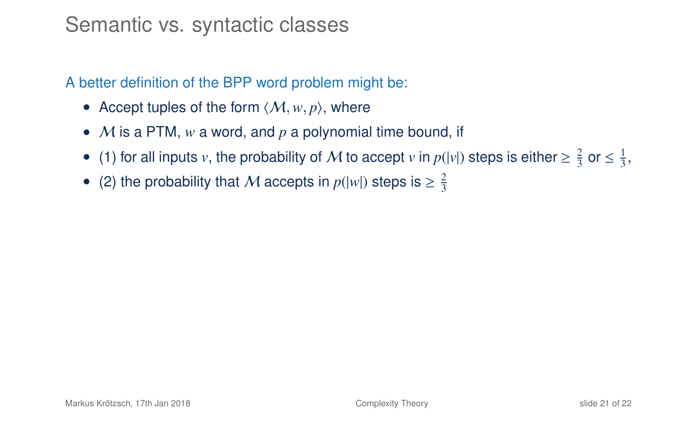### Semantic vs. syntactic classes

A better definition of the BPP word problem might be:

- Accept tuples of the form  $\langle M, w, p \rangle$ , where
- M is a PTM, *w* a word, and *p* a polynomial time bound, if
- (1) for all inputs *v*, the probability of M to accept *v* in  $p(|v|)$  steps is either  $\geq \frac{2}{3}$  or  $\leq \frac{1}{3}$ ,
- (2) the probability that M accepts in  $p(|w|)$  steps is  $\geq \frac{2}{3}$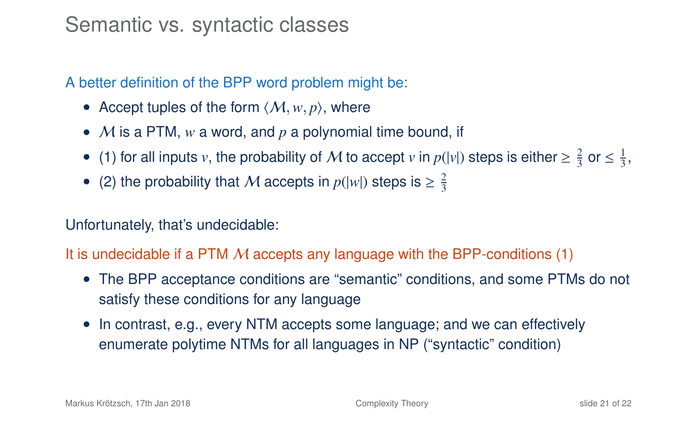### Semantic vs. syntactic classes

A better definition of the BPP word problem might be:

- Accept tuples of the form  $\langle M, w, p \rangle$ , where
- M is a PTM, *w* a word, and *p* a polynomial time bound, if
- (1) for all inputs *v*, the probability of M to accept *v* in  $p(|v|)$  steps is either  $\geq \frac{2}{3}$  or  $\leq \frac{1}{3}$ ,
- (2) the probability that M accepts in  $p(|w|)$  steps is  $\geq \frac{2}{3}$

#### Unfortunately, that's undecidable:

#### It is undecidable if a PTM  $M$  accepts any language with the BPP-conditions (1)

- The BPP acceptance conditions are "semantic" conditions, and some PTMs do not satisfy these conditions for any language
- In contrast, e.g., every NTM accepts some language; and we can effectively enumerate polytime NTMs for all languages in NP ("syntactic" condition)